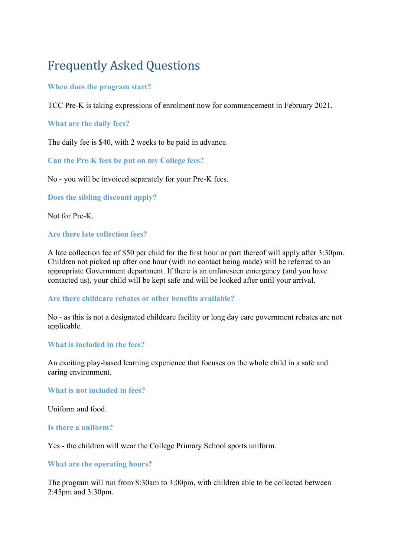# Frequently Asked Questions

## **When does the program start?**

TCC Pre-K is taking expressions of enrolment now for commencement in February 2021.

## **What are the daily fees?**

The daily fee is \$40, with 2 weeks to be paid in advance.

**Can the Pre-K fees be put on my College fees?**

No - you will be invoiced separately for your Pre-K fees.

**Does the sibling discount apply?**

Not for Pre-K.

## **Are there late collection fees?**

A late collection fee of \$50 per child for the first hour or part thereof will apply after 3:30pm. Children not picked up after one hour (with no contact being made) will be referred to an appropriate Government department. If there is an unforeseen emergency (and you have contacted us), your child will be kept safe and will be looked after until your arrival.

#### **Are there childcare rebates or other benefits available?**

No - as this is not a designated childcare facility or long day care government rebates are not applicable.

#### **What is included in the fees?**

An exciting play-based learning experience that focuses on the whole child in a safe and caring environment.

**What is not included in fees?**

Uniform and food.

#### **Is there a uniform?**

Yes - the children will wear the College Primary School sports uniform.

#### **What are the operating hours?**

The program will run from 8:30am to 3:00pm, with children able to be collected between 2:45pm and 3:30pm.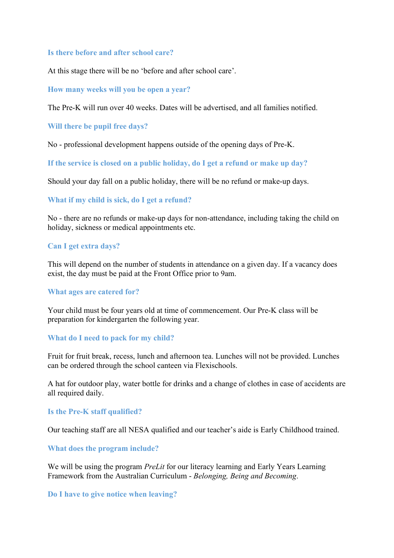#### **Is there before and after school care?**

At this stage there will be no 'before and after school care'.

#### **How many weeks will you be open a year?**

The Pre-K will run over 40 weeks. Dates will be advertised, and all families notified.

#### **Will there be pupil free days?**

No - professional development happens outside of the opening days of Pre-K.

**If the service is closed on a public holiday, do I get a refund or make up day?**

Should your day fall on a public holiday, there will be no refund or make-up days.

#### **What if my child is sick, do I get a refund?**

No - there are no refunds or make-up days for non-attendance, including taking the child on holiday, sickness or medical appointments etc.

## **Can I get extra days?**

This will depend on the number of students in attendance on a given day. If a vacancy does exist, the day must be paid at the Front Office prior to 9am.

#### **What ages are catered for?**

Your child must be four years old at time of commencement. Our Pre-K class will be preparation for kindergarten the following year.

#### **What do I need to pack for my child?**

Fruit for fruit break, recess, lunch and afternoon tea. Lunches will not be provided. Lunches can be ordered through the school canteen via Flexischools.

A hat for outdoor play, water bottle for drinks and a change of clothes in case of accidents are all required daily.

#### **Is the Pre-K staff qualified?**

Our teaching staff are all NESA qualified and our teacher's aide is Early Childhood trained.

#### **What does the program include?**

We will be using the program *PreLit* for our literacy learning and Early Years Learning Framework from the Australian Curriculum - *Belonging, Being and Becoming*.

#### **Do I have to give notice when leaving?**